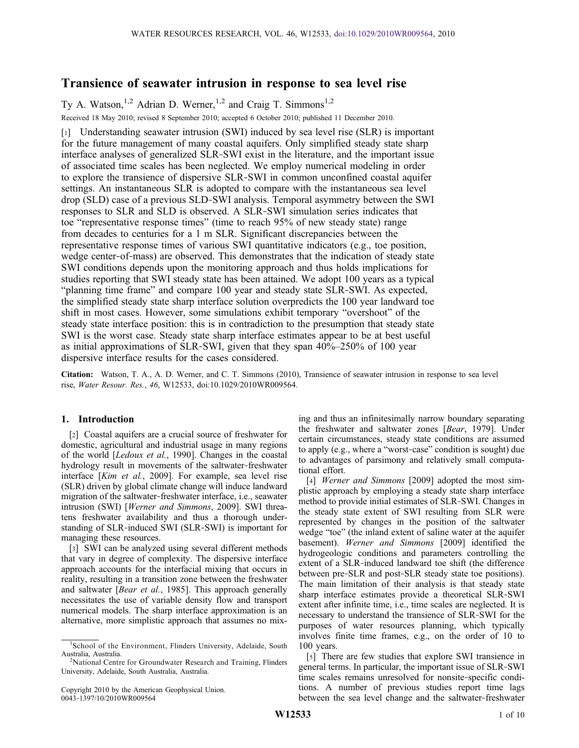# Transience of seawater intrusion in response to sea level rise

Ty A. Watson,<sup>1,2</sup> Adrian D. Werner,<sup>1,2</sup> and Craig T. Simmons<sup>1,2</sup> Received 18 May 2010; revised 8 September 2010; accepted 6 October 2010; published 11 December 2010.

[1] Understanding seawater intrusion (SWI) induced by sea level rise (SLR) is important for the future management of many coastal aquifers. Only simplified steady state sharp interface analyses of generalized SLR‐SWI exist in the literature, and the important issue of associated time scales has been neglected. We employ numerical modeling in order to explore the transience of dispersive SLR‐SWI in common unconfined coastal aquifer settings. An instantaneous SLR is adopted to compare with the instantaneous sea level drop (SLD) case of a previous SLD‐SWI analysis. Temporal asymmetry between the SWI responses to SLR and SLD is observed. A SLR‐SWI simulation series indicates that toe "representative response times" (time to reach 95% of new steady state) range from decades to centuries for a 1 m SLR. Significant discrepancies between the representative response times of various SWI quantitative indicators (e.g., toe position, wedge center‐of‐mass) are observed. This demonstrates that the indication of steady state SWI conditions depends upon the monitoring approach and thus holds implications for studies reporting that SWI steady state has been attained. We adopt 100 years as a typical "planning time frame" and compare 100 year and steady state SLR‐SWI. As expected, the simplified steady state sharp interface solution overpredicts the 100 year landward toe shift in most cases. However, some simulations exhibit temporary "overshoot" of the steady state interface position: this is in contradiction to the presumption that steady state SWI is the worst case. Steady state sharp interface estimates appear to be at best useful as initial approximations of SLR‐SWI, given that they span 40%–250% of 100 year dispersive interface results for the cases considered.

Citation: Watson, T. A., A. D. Werner, and C. T. Simmons (2010), Transience of seawater intrusion in response to sea level rise, Water Resour. Res., 46, W12533, doi:10.1029/2010WR009564.

# 1. Introduction

[2] Coastal aquifers are a crucial source of freshwater for domestic, agricultural and industrial usage in many regions of the world [Ledoux et al., 1990]. Changes in the coastal hydrology result in movements of the saltwater‐freshwater interface [Kim et al., 2009]. For example, sea level rise (SLR) driven by global climate change will induce landward migration of the saltwater‐freshwater interface, i.e., seawater intrusion (SWI) [Werner and Simmons, 2009]. SWI threatens freshwater availability and thus a thorough understanding of SLR‐induced SWI (SLR‐SWI) is important for managing these resources.

[3] SWI can be analyzed using several different methods that vary in degree of complexity. The dispersive interface approach accounts for the interfacial mixing that occurs in reality, resulting in a transition zone between the freshwater and saltwater [Bear et al., 1985]. This approach generally necessitates the use of variable density flow and transport numerical models. The sharp interface approximation is an alternative, more simplistic approach that assumes no mixing and thus an infinitesimally narrow boundary separating the freshwater and saltwater zones [Bear, 1979]. Under certain circumstances, steady state conditions are assumed to apply (e.g., where a "worst‐case" condition is sought) due to advantages of parsimony and relatively small computational effort.

[4] *Werner and Simmons* [2009] adopted the most simplistic approach by employing a steady state sharp interface method to provide initial estimates of SLR‐SWI. Changes in the steady state extent of SWI resulting from SLR were represented by changes in the position of the saltwater wedge "toe" (the inland extent of saline water at the aquifer basement). Werner and Simmons [2009] identified the hydrogeologic conditions and parameters controlling the extent of a SLR‐induced landward toe shift (the difference between pre‐SLR and post‐SLR steady state toe positions). The main limitation of their analysis is that steady state sharp interface estimates provide a theoretical SLR‐SWI extent after infinite time, i.e., time scales are neglected. It is necessary to understand the transience of SLR‐SWI for the purposes of water resources planning, which typically involves finite time frames, e.g., on the order of 10 to 100 years.

[5] There are few studies that explore SWI transience in general terms. In particular, the important issue of SLR‐SWI time scales remains unresolved for nonsite‐specific conditions. A number of previous studies report time lags between the sea level change and the saltwater‐freshwater

<sup>1</sup> School of the Environment, Flinders University, Adelaide, South Australia, Australia. <sup>2</sup>

<sup>&</sup>lt;sup>2</sup>National Centre for Groundwater Research and Training, Flinders University, Adelaide, South Australia, Australia.

Copyright 2010 by the American Geophysical Union. 0043‐1397/10/2010WR009564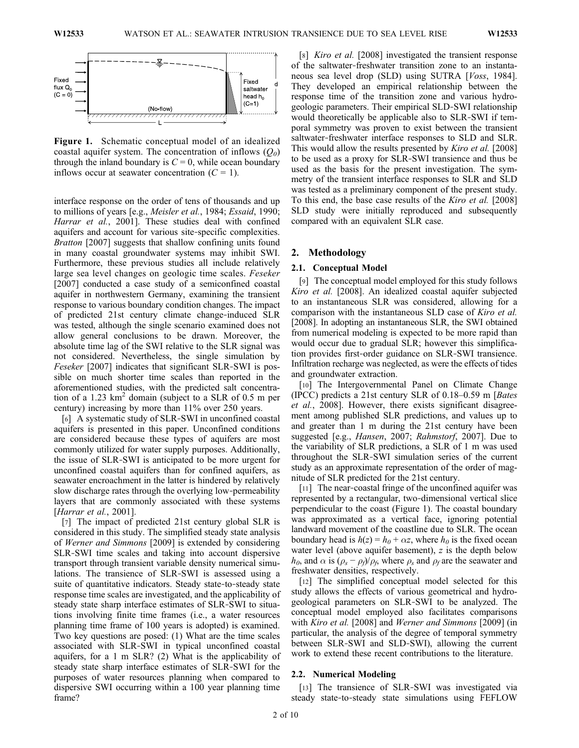

Figure 1. Schematic conceptual model of an idealized coastal aquifer system. The concentration of inflows  $(Q_0)$ through the inland boundary is  $C = 0$ , while ocean boundary inflows occur at seawater concentration  $(C = 1)$ .

interface response on the order of tens of thousands and up to millions of years [e.g., Meisler et al., 1984; Essaid, 1990; Harrar et al., 2001]. These studies deal with confined aquifers and account for various site‐specific complexities. Bratton [2007] suggests that shallow confining units found in many coastal groundwater systems may inhibit SWI. Furthermore, these previous studies all include relatively large sea level changes on geologic time scales. Feseker [2007] conducted a case study of a semiconfined coastal aquifer in northwestern Germany, examining the transient response to various boundary condition changes. The impact of predicted 21st century climate change‐induced SLR was tested, although the single scenario examined does not allow general conclusions to be drawn. Moreover, the absolute time lag of the SWI relative to the SLR signal was not considered. Nevertheless, the single simulation by Feseker [2007] indicates that significant SLR-SWI is possible on much shorter time scales than reported in the aforementioned studies, with the predicted salt concentration of a 1.23  $km^2$  domain (subject to a SLR of 0.5 m per century) increasing by more than 11% over 250 years.

[6] A systematic study of SLR-SWI in unconfined coastal aquifers is presented in this paper. Unconfined conditions are considered because these types of aquifers are most commonly utilized for water supply purposes. Additionally, the issue of SLR‐SWI is anticipated to be more urgent for unconfined coastal aquifers than for confined aquifers, as seawater encroachment in the latter is hindered by relatively slow discharge rates through the overlying low‐permeability layers that are commonly associated with these systems [Harrar et al., 2001].

[7] The impact of predicted 21st century global SLR is considered in this study. The simplified steady state analysis of Werner and Simmons [2009] is extended by considering SLR‐SWI time scales and taking into account dispersive transport through transient variable density numerical simulations. The transience of SLR‐SWI is assessed using a suite of quantitative indicators. Steady state‐to‐steady state response time scales are investigated, and the applicability of steady state sharp interface estimates of SLR‐SWI to situations involving finite time frames (i.e., a water resources planning time frame of 100 years is adopted) is examined. Two key questions are posed: (1) What are the time scales associated with SLR‐SWI in typical unconfined coastal aquifers, for a 1 m SLR? (2) What is the applicability of steady state sharp interface estimates of SLR‐SWI for the purposes of water resources planning when compared to dispersive SWI occurring within a 100 year planning time frame?

[8] *Kiro et al.* [2008] investigated the transient response of the saltwater‐freshwater transition zone to an instantaneous sea level drop (SLD) using SUTRA [Voss, 1984]. They developed an empirical relationship between the response time of the transition zone and various hydrogeologic parameters. Their empirical SLD‐SWI relationship would theoretically be applicable also to SLR‐SWI if temporal symmetry was proven to exist between the transient saltwater-freshwater interface responses to SLD and SLR. This would allow the results presented by *Kiro et al.* [2008] to be used as a proxy for SLR‐SWI transience and thus be used as the basis for the present investigation. The symmetry of the transient interface responses to SLR and SLD was tested as a preliminary component of the present study. To this end, the base case results of the *Kiro et al.* [2008] SLD study were initially reproduced and subsequently compared with an equivalent SLR case.

## 2. Methodology

#### 2.1. Conceptual Model

[9] The conceptual model employed for this study follows Kiro et al. [2008]. An idealized coastal aquifer subjected to an instantaneous SLR was considered, allowing for a comparison with the instantaneous SLD case of Kiro et al. [2008]. In adopting an instantaneous SLR, the SWI obtained from numerical modeling is expected to be more rapid than would occur due to gradual SLR; however this simplification provides first‐order guidance on SLR‐SWI transience. Infiltration recharge was neglected, as were the effects of tides and groundwater extraction.

[10] The Intergovernmental Panel on Climate Change (IPCC) predicts a 21st century SLR of 0.18–0.59 m [Bates et al., 2008]. However, there exists significant disagreement among published SLR predictions, and values up to and greater than 1 m during the 21st century have been suggested [e.g., Hansen, 2007; Rahmstorf, 2007]. Due to the variability of SLR predictions, a SLR of 1 m was used throughout the SLR‐SWI simulation series of the current study as an approximate representation of the order of magnitude of SLR predicted for the 21st century.

[11] The near-coastal fringe of the unconfined aquifer was represented by a rectangular, two‐dimensional vertical slice perpendicular to the coast (Figure 1). The coastal boundary was approximated as a vertical face, ignoring potential landward movement of the coastline due to SLR. The ocean boundary head is  $h(z) = h_0 + \alpha z$ , where  $h_0$  is the fixed ocean water level (above aquifer basement),  $z$  is the depth below  $h_0$ , and  $\alpha$  is  $(\rho_s - \rho_f)/\rho_f$ , where  $\rho_s$  and  $\rho_f$  are the seawater and freshwater densities, respectively.

[12] The simplified conceptual model selected for this study allows the effects of various geometrical and hydrogeological parameters on SLR‐SWI to be analyzed. The conceptual model employed also facilitates comparisons with Kiro et al. [2008] and Werner and Simmons [2009] (in particular, the analysis of the degree of temporal symmetry between SLR‐SWI and SLD‐SWI), allowing the current work to extend these recent contributions to the literature.

#### 2.2. Numerical Modeling

[13] The transience of SLR–SWI was investigated via steady state‐to‐steady state simulations using FEFLOW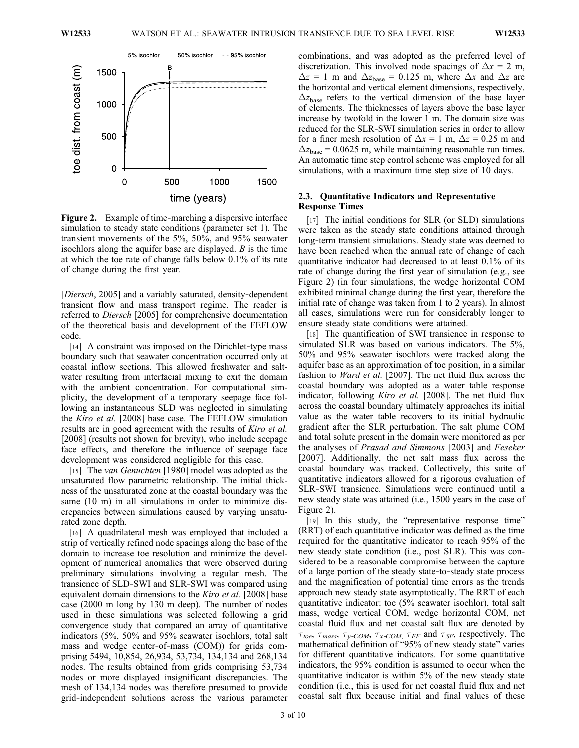

Figure 2. Example of time-marching a dispersive interface simulation to steady state conditions (parameter set 1). The transient movements of the 5%, 50%, and 95% seawater isochlors along the aquifer base are displayed. B is the time at which the toe rate of change falls below 0.1% of its rate of change during the first year.

[Diersch, 2005] and a variably saturated, density-dependent transient flow and mass transport regime. The reader is referred to Diersch [2005] for comprehensive documentation of the theoretical basis and development of the FEFLOW code.

[14] A constraint was imposed on the Dirichlet-type mass boundary such that seawater concentration occurred only at coastal inflow sections. This allowed freshwater and saltwater resulting from interfacial mixing to exit the domain with the ambient concentration. For computational simplicity, the development of a temporary seepage face following an instantaneous SLD was neglected in simulating the Kiro et al. [2008] base case. The FEFLOW simulation results are in good agreement with the results of *Kiro et al.* [2008] (results not shown for brevity), who include seepage face effects, and therefore the influence of seepage face development was considered negligible for this case.

[15] The *van Genuchten* [1980] model was adopted as the unsaturated flow parametric relationship. The initial thickness of the unsaturated zone at the coastal boundary was the same (10 m) in all simulations in order to minimize discrepancies between simulations caused by varying unsaturated zone depth.

[16] A quadrilateral mesh was employed that included a strip of vertically refined node spacings along the base of the domain to increase toe resolution and minimize the development of numerical anomalies that were observed during preliminary simulations involving a regular mesh. The transience of SLD‐SWI and SLR‐SWI was compared using equivalent domain dimensions to the *Kiro et al.* [2008] base case (2000 m long by 130 m deep). The number of nodes used in these simulations was selected following a grid convergence study that compared an array of quantitative indicators (5%, 50% and 95% seawater isochlors, total salt mass and wedge center-of-mass (COM)) for grids comprising 5494, 10,854, 26,934, 53,734, 134,134 and 268,134 nodes. The results obtained from grids comprising 53,734 nodes or more displayed insignificant discrepancies. The mesh of 134,134 nodes was therefore presumed to provide grid‐independent solutions across the various parameter

combinations, and was adopted as the preferred level of discretization. This involved node spacings of  $\Delta x = 2$  m,  $\Delta z = 1$  m and  $\Delta z_{base} = 0.125$  m, where  $\Delta x$  and  $\Delta z$  are the horizontal and vertical element dimensions, respectively.  $\Delta z_{\text{base}}$  refers to the vertical dimension of the base layer of elements. The thicknesses of layers above the base layer increase by twofold in the lower 1 m. The domain size was reduced for the SLR‐SWI simulation series in order to allow for a finer mesh resolution of  $\Delta x = 1$  m,  $\Delta z = 0.25$  m and  $\Delta z_{\text{base}} = 0.0625$  m, while maintaining reasonable run times. An automatic time step control scheme was employed for all simulations, with a maximum time step size of 10 days.

# 2.3. Quantitative Indicators and Representative Response Times

[17] The initial conditions for SLR (or SLD) simulations were taken as the steady state conditions attained through long‐term transient simulations. Steady state was deemed to have been reached when the annual rate of change of each quantitative indicator had decreased to at least 0.1% of its rate of change during the first year of simulation (e.g., see Figure 2) (in four simulations, the wedge horizontal COM exhibited minimal change during the first year, therefore the initial rate of change was taken from 1 to 2 years). In almost all cases, simulations were run for considerably longer to ensure steady state conditions were attained.

[18] The quantification of SWI transience in response to simulated SLR was based on various indicators. The 5%, 50% and 95% seawater isochlors were tracked along the aquifer base as an approximation of toe position, in a similar fashion to Ward et al. [2007]. The net fluid flux across the coastal boundary was adopted as a water table response indicator, following *Kiro et al.* [2008]. The net fluid flux across the coastal boundary ultimately approaches its initial value as the water table recovers to its initial hydraulic gradient after the SLR perturbation. The salt plume COM and total solute present in the domain were monitored as per the analyses of Prasad and Simmons [2003] and Feseker [2007]. Additionally, the net salt mass flux across the coastal boundary was tracked. Collectively, this suite of quantitative indicators allowed for a rigorous evaluation of SLR‐SWI transience. Simulations were continued until a new steady state was attained (i.e., 1500 years in the case of Figure 2).

[19] In this study, the "representative response time" (RRT) of each quantitative indicator was defined as the time required for the quantitative indicator to reach 95% of the new steady state condition (i.e., post SLR). This was considered to be a reasonable compromise between the capture of a large portion of the steady state‐to‐steady state process and the magnification of potential time errors as the trends approach new steady state asymptotically. The RRT of each quantitative indicator: toe (5% seawater isochlor), total salt mass, wedge vertical COM, wedge horizontal COM, net coastal fluid flux and net coastal salt flux are denoted by  $\tau_{toe}$ ,  $\tau_{mass}$ ,  $\tau_{y-COM}$ ,  $\tau_{x-COM}$ ,  $\tau_{FF}$  and  $\tau_{SF}$ , respectively. The mathematical definition of "95% of new steady state" varies for different quantitative indicators. For some quantitative indicators, the 95% condition is assumed to occur when the quantitative indicator is within 5% of the new steady state condition (i.e., this is used for net coastal fluid flux and net coastal salt flux because initial and final values of these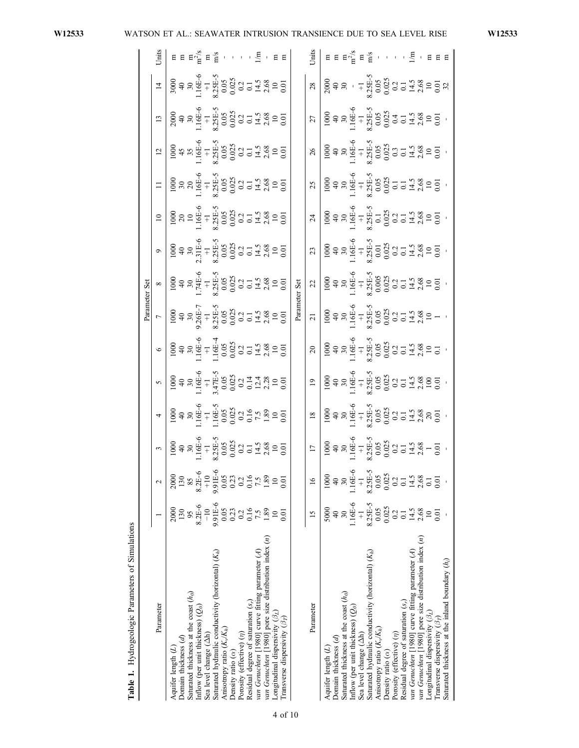|                                                       |                          |                                                    |                                                                                                                                                                                                                                                                                                  |                                                                                                                                           |                                                                                                                                                                                       |                                                                                                                                                                                                      | Parameter Set                                                    |                                                                                                                                                                                                                                                                                                                                         |                                                                                                              |                 |                                                                                                                                                                                                                                                          |    |    |                                                                                                                                                                                                                                                                               |                                                                        |
|-------------------------------------------------------|--------------------------|----------------------------------------------------|--------------------------------------------------------------------------------------------------------------------------------------------------------------------------------------------------------------------------------------------------------------------------------------------------|-------------------------------------------------------------------------------------------------------------------------------------------|---------------------------------------------------------------------------------------------------------------------------------------------------------------------------------------|------------------------------------------------------------------------------------------------------------------------------------------------------------------------------------------------------|------------------------------------------------------------------|-----------------------------------------------------------------------------------------------------------------------------------------------------------------------------------------------------------------------------------------------------------------------------------------------------------------------------------------|--------------------------------------------------------------------------------------------------------------|-----------------|----------------------------------------------------------------------------------------------------------------------------------------------------------------------------------------------------------------------------------------------------------|----|----|-------------------------------------------------------------------------------------------------------------------------------------------------------------------------------------------------------------------------------------------------------------------------------|------------------------------------------------------------------------|
| Parameter                                             |                          | $\sim$                                             | $\begin{array}{r} 3 \\ 1000 \\ 1400 \\ 11.6E & 4 \\ 11.6E & 5 \\ 8.35E & 5 \\ 8.25E & 5 \\ 0.005 & 0.2 \\ 0.21 & 1.48 \\ 0.001 & 0.01 \\ 0.01 & 0.01 \\ 0.01 & 0.01 \\ 0.01 & 0.01 \\ 0.01 & 0.01 \\ 0.01 & 0.01 \\ 0.01 & 0.01 \\ 0.01 & 0.01 \\ 0.01 & 0.01 \\ 0.01 & 0.01 \\ 0.01 & 0.01 \\ $ | $\overline{a}$                                                                                                                            | $\infty$                                                                                                                                                                              | $\bullet$                                                                                                                                                                                            | $\overline{\phantom{0}}$                                         | $\infty$                                                                                                                                                                                                                                                                                                                                | $\circ$                                                                                                      | $\overline{10}$ |                                                                                                                                                                                                                                                          | 12 | 13 | $\overline{14}$                                                                                                                                                                                                                                                               | Units                                                                  |
| Aquifer length $(L)$                                  |                          |                                                    |                                                                                                                                                                                                                                                                                                  | $\begin{array}{r} 1000 \\ 40 \\ 30 \\ 1.16E-6 \\ 1.16E-5 \\ 0.035 \\ 0.023 \\ 0.16 \\ 7.5 \\ 1.89 \\ 1.00 \\ 0.01 \\ 0.01 \\ \end{array}$ | $\begin{array}{r} 1000 \\ 40 \\ 30 \\ 1.16E-6 \\ 1.47E-5 \\ 3.47E-5 \\ 0.035 \\ 0.023 \\ 0.144 \\ 0.124 \\ 0.01 \\ 0.01 \\ 0.01 \\ \end{array}$                                       | 1000<br>4 3 3 4 5 4 5 4 5 4 5 4 5 4 6 5 4 6 5 6 6 7 5 4 5 6 7 6 7 7 8 7 6 7 6 7 7 8 7 7 8 7 7 8 7 7 8 7 9 7 0 7 1                                                                                    | $\begin{array}{c c}\n1000 \\ 40 \\ 30 \\ 500 \\ -1\n\end{array}$ |                                                                                                                                                                                                                                                                                                                                         |                                                                                                              |                 |                                                                                                                                                                                                                                                          |    |    |                                                                                                                                                                                                                                                                               |                                                                        |
| Domain thickness $(d)$                                | 130                      | 130                                                |                                                                                                                                                                                                                                                                                                  |                                                                                                                                           |                                                                                                                                                                                       |                                                                                                                                                                                                      |                                                                  |                                                                                                                                                                                                                                                                                                                                         |                                                                                                              |                 |                                                                                                                                                                                                                                                          |    |    |                                                                                                                                                                                                                                                                               |                                                                        |
| saturated thickness at the coast $(h_0)$              |                          | 85                                                 |                                                                                                                                                                                                                                                                                                  |                                                                                                                                           |                                                                                                                                                                                       |                                                                                                                                                                                                      |                                                                  |                                                                                                                                                                                                                                                                                                                                         |                                                                                                              |                 |                                                                                                                                                                                                                                                          |    |    |                                                                                                                                                                                                                                                                               |                                                                        |
| inflow (per unit thickness) $(Q_0)$                   | $8.2E - 6$               | $8.2E-6$                                           |                                                                                                                                                                                                                                                                                                  |                                                                                                                                           |                                                                                                                                                                                       |                                                                                                                                                                                                      |                                                                  |                                                                                                                                                                                                                                                                                                                                         |                                                                                                              |                 |                                                                                                                                                                                                                                                          |    |    |                                                                                                                                                                                                                                                                               | $E = E \frac{x}{2} + E \frac{y}{2} + E$                                |
| Sea level change (Ah)                                 |                          | $\frac{1}{10}$                                     |                                                                                                                                                                                                                                                                                                  |                                                                                                                                           |                                                                                                                                                                                       |                                                                                                                                                                                                      |                                                                  |                                                                                                                                                                                                                                                                                                                                         |                                                                                                              |                 |                                                                                                                                                                                                                                                          |    |    |                                                                                                                                                                                                                                                                               |                                                                        |
| Saturated hydraulic conductivity (horizontal) $(K_h)$ | $0.91E-6$                |                                                    |                                                                                                                                                                                                                                                                                                  |                                                                                                                                           |                                                                                                                                                                                       |                                                                                                                                                                                                      |                                                                  |                                                                                                                                                                                                                                                                                                                                         |                                                                                                              |                 |                                                                                                                                                                                                                                                          |    |    |                                                                                                                                                                                                                                                                               |                                                                        |
| Anisotropy ratio $(K_v/K_h)$                          | 0.05                     | $9.91E-6$<br>0.05                                  |                                                                                                                                                                                                                                                                                                  |                                                                                                                                           |                                                                                                                                                                                       |                                                                                                                                                                                                      |                                                                  |                                                                                                                                                                                                                                                                                                                                         |                                                                                                              |                 |                                                                                                                                                                                                                                                          |    |    |                                                                                                                                                                                                                                                                               |                                                                        |
| Density ratio $(\alpha)$                              | 0.23                     | 0.23                                               |                                                                                                                                                                                                                                                                                                  |                                                                                                                                           |                                                                                                                                                                                       |                                                                                                                                                                                                      |                                                                  |                                                                                                                                                                                                                                                                                                                                         |                                                                                                              |                 |                                                                                                                                                                                                                                                          |    |    |                                                                                                                                                                                                                                                                               |                                                                        |
| Porosity (effective) $(\eta)$                         | 0.2                      | 0.2                                                |                                                                                                                                                                                                                                                                                                  |                                                                                                                                           |                                                                                                                                                                                       |                                                                                                                                                                                                      |                                                                  |                                                                                                                                                                                                                                                                                                                                         |                                                                                                              |                 |                                                                                                                                                                                                                                                          |    |    |                                                                                                                                                                                                                                                                               |                                                                        |
| Residual degree of saturation $(s_r)$                 |                          |                                                    |                                                                                                                                                                                                                                                                                                  |                                                                                                                                           |                                                                                                                                                                                       |                                                                                                                                                                                                      |                                                                  |                                                                                                                                                                                                                                                                                                                                         |                                                                                                              |                 |                                                                                                                                                                                                                                                          |    |    |                                                                                                                                                                                                                                                                               |                                                                        |
| van Genuchten [1980] curve fitting parameter (A)      | $\frac{16}{7.5}$<br>1.89 | $\frac{7.5}{7.5}$                                  |                                                                                                                                                                                                                                                                                                  |                                                                                                                                           |                                                                                                                                                                                       |                                                                                                                                                                                                      |                                                                  |                                                                                                                                                                                                                                                                                                                                         |                                                                                                              |                 |                                                                                                                                                                                                                                                          |    |    |                                                                                                                                                                                                                                                                               |                                                                        |
| van Genuchten [1980] pore size distribution index (n) |                          |                                                    |                                                                                                                                                                                                                                                                                                  |                                                                                                                                           |                                                                                                                                                                                       |                                                                                                                                                                                                      |                                                                  |                                                                                                                                                                                                                                                                                                                                         |                                                                                                              |                 |                                                                                                                                                                                                                                                          |    |    |                                                                                                                                                                                                                                                                               |                                                                        |
| ongitudinal dispersivity $(\beta_L)$                  |                          | $\overline{10}$                                    |                                                                                                                                                                                                                                                                                                  |                                                                                                                                           |                                                                                                                                                                                       |                                                                                                                                                                                                      |                                                                  |                                                                                                                                                                                                                                                                                                                                         |                                                                                                              |                 |                                                                                                                                                                                                                                                          |    |    |                                                                                                                                                                                                                                                                               |                                                                        |
| Transverse dispersivity $(\beta_T)$                   | 0.01                     | 0.01                                               |                                                                                                                                                                                                                                                                                                  |                                                                                                                                           |                                                                                                                                                                                       |                                                                                                                                                                                                      |                                                                  | 1000<br>40<br>40<br>$\frac{4}{30}$<br>$\frac{174E}{1.74E}$<br>$\frac{1}{30}$<br>$\frac{174E}{1.54E}$<br>$\frac{1}{30}$<br>$\frac{1}{30}$<br>$\frac{1}{30}$<br>$\frac{1}{30}$<br>$\frac{1}{30}$<br>$\frac{1}{30}$<br>$\frac{1}{30}$<br>$\frac{1}{30}$<br>$\frac{1}{30}$<br>$\frac{1}{30}$<br>$\frac{1}{30}$<br>$\frac{1}{30}$<br>$\frac$ |                                                                                                              |                 | 1000<br>30<br>20<br>20<br>21.16 +<br>41.16 +<br>3.25 +<br>3.26 +<br>3.26 +<br>3.26 +<br>3.26 +<br>3.26 +<br>3.26 +<br>3.26 +<br>3.26 +<br>3.36 +<br>3.36 +<br>3.36 +<br>3.00 +<br>3.36 +<br>3.36 +<br>3.36 +<br>3.36 +<br>3.36 +<br>3.00 +<br>3.36 +<br> |    |    | $3000$<br>$40$<br>$40$<br>$30$<br>$11.6E + C$<br>$1.6E + C$<br>$1.6E + C$<br>$1.6E + C$<br>$1.6E + C$<br>$1.6E + C$<br>$1.6E + C$<br>$1.6E + C$<br>$1.6E + C$<br>$1.6E + C$<br>$1.6E + C$<br>$1.6E + C$<br>$1.6E + C$<br>$1.6E + C$<br>$1.6E + C$<br>$1.6E + C$<br>$1.6E + C$ |                                                                        |
|                                                       |                          |                                                    |                                                                                                                                                                                                                                                                                                  |                                                                                                                                           |                                                                                                                                                                                       |                                                                                                                                                                                                      | Parameter Set                                                    |                                                                                                                                                                                                                                                                                                                                         |                                                                                                              |                 |                                                                                                                                                                                                                                                          |    |    |                                                                                                                                                                                                                                                                               |                                                                        |
| Parameter                                             | 15                       | $\overline{16}$                                    | $\overline{17}$                                                                                                                                                                                                                                                                                  | $\frac{18}{18}$                                                                                                                           | $^{19}$                                                                                                                                                                               | $\overline{c}$                                                                                                                                                                                       | $\overline{21}$                                                  | 22                                                                                                                                                                                                                                                                                                                                      | 23                                                                                                           | $\overline{24}$ | 25                                                                                                                                                                                                                                                       | 26 | 27 | 28                                                                                                                                                                                                                                                                            | Units                                                                  |
| Aquifer length $(L)$                                  | 5000                     | 1000                                               |                                                                                                                                                                                                                                                                                                  |                                                                                                                                           | 1000<br>40<br>40<br>30<br>50.00<br>41<br>50.00<br>50.00<br>50.00<br>50.00<br>70.00<br>70.00<br>70.00<br>70.00<br>70.00<br>70.00<br>70.00<br>70.00<br>70.00<br>70.00<br>70.00<br>70.00 | 1000<br>40<br>40<br>30<br>50.00<br>41<br>50.00<br>50.00<br>50.00<br>44<br>50.00<br>50.00<br>50.00<br>50.00<br>50.00<br>50.00<br>50.00<br>50.00<br>50.00<br>50.00<br>50.00<br>50.00<br>50.00<br>50.00 |                                                                  |                                                                                                                                                                                                                                                                                                                                         | 1000<br>40<br>40<br>30<br>5000<br>41<br>5000<br>5000<br>5000<br>5000<br>5000<br>7000<br>7000<br>7000<br>7000 |                 |                                                                                                                                                                                                                                                          |    |    | $2000$<br>$40$<br>$30$<br>$-1$<br>$-1$<br>$-1$<br>$-1$<br>$-1$<br>$-1$<br>$-1$<br>$-1$<br>$-1$<br>$-1$<br>$-1$<br>$-1$<br>$-1$<br>$-1$<br>$-1$<br>$-1$<br>$-1$<br>$-1$<br>$-1$<br>$-1$<br>$-1$<br>$-1$<br>$-1$<br>$-1$<br>$-1$<br>$-1$                                        |                                                                        |
| Domain thickness $(d)$                                |                          |                                                    |                                                                                                                                                                                                                                                                                                  |                                                                                                                                           |                                                                                                                                                                                       |                                                                                                                                                                                                      |                                                                  |                                                                                                                                                                                                                                                                                                                                         |                                                                                                              |                 |                                                                                                                                                                                                                                                          |    |    |                                                                                                                                                                                                                                                                               |                                                                        |
| saturated thickness at the coast $(h_0)$              |                          | $\overline{30}$                                    |                                                                                                                                                                                                                                                                                                  |                                                                                                                                           |                                                                                                                                                                                       |                                                                                                                                                                                                      |                                                                  |                                                                                                                                                                                                                                                                                                                                         |                                                                                                              |                 |                                                                                                                                                                                                                                                          |    |    |                                                                                                                                                                                                                                                                               |                                                                        |
| inflow (per unit thickness) $(Q_0)$                   | $-16E-6$                 | $1.16E-6$                                          |                                                                                                                                                                                                                                                                                                  |                                                                                                                                           |                                                                                                                                                                                       |                                                                                                                                                                                                      |                                                                  |                                                                                                                                                                                                                                                                                                                                         |                                                                                                              |                 |                                                                                                                                                                                                                                                          |    |    |                                                                                                                                                                                                                                                                               |                                                                        |
| Sea level change (Ah)                                 | $\overline{+}$           | $\overline{+}$                                     |                                                                                                                                                                                                                                                                                                  |                                                                                                                                           |                                                                                                                                                                                       |                                                                                                                                                                                                      |                                                                  |                                                                                                                                                                                                                                                                                                                                         |                                                                                                              |                 |                                                                                                                                                                                                                                                          |    |    |                                                                                                                                                                                                                                                                               |                                                                        |
| Saturated hydraulic conductivity (horizontal) $(K_h)$ | $8.25E - 5$              | $8.25E-5$                                          |                                                                                                                                                                                                                                                                                                  |                                                                                                                                           |                                                                                                                                                                                       |                                                                                                                                                                                                      |                                                                  |                                                                                                                                                                                                                                                                                                                                         |                                                                                                              |                 |                                                                                                                                                                                                                                                          |    |    |                                                                                                                                                                                                                                                                               | $E E = E_1^{\alpha_1} E_1^{\alpha_2} E_2^{\alpha_3}$ , , , , $E = E E$ |
| Anisotropy ratio $(K_v/K_h)$                          | 0.05                     | 0.05                                               |                                                                                                                                                                                                                                                                                                  |                                                                                                                                           |                                                                                                                                                                                       |                                                                                                                                                                                                      |                                                                  |                                                                                                                                                                                                                                                                                                                                         |                                                                                                              |                 |                                                                                                                                                                                                                                                          |    |    |                                                                                                                                                                                                                                                                               |                                                                        |
| Density ratio $(\alpha)$                              | 0.025                    | $\begin{array}{c} 0.025 \\ 0.2 \\ 0.1 \end{array}$ |                                                                                                                                                                                                                                                                                                  |                                                                                                                                           |                                                                                                                                                                                       |                                                                                                                                                                                                      |                                                                  |                                                                                                                                                                                                                                                                                                                                         |                                                                                                              |                 |                                                                                                                                                                                                                                                          |    |    |                                                                                                                                                                                                                                                                               |                                                                        |
| Porosity (effective) (n)                              | 0.2                      |                                                    |                                                                                                                                                                                                                                                                                                  |                                                                                                                                           |                                                                                                                                                                                       |                                                                                                                                                                                                      |                                                                  |                                                                                                                                                                                                                                                                                                                                         |                                                                                                              |                 |                                                                                                                                                                                                                                                          |    |    |                                                                                                                                                                                                                                                                               |                                                                        |
| Residual degree of saturation $(s_r)$                 |                          |                                                    |                                                                                                                                                                                                                                                                                                  |                                                                                                                                           |                                                                                                                                                                                       |                                                                                                                                                                                                      |                                                                  |                                                                                                                                                                                                                                                                                                                                         |                                                                                                              |                 |                                                                                                                                                                                                                                                          |    |    |                                                                                                                                                                                                                                                                               |                                                                        |
| van Genuchten [1980] curve fitting parameter (A)      | $14.5$<br>2.68           | 14.5<br>2.68                                       |                                                                                                                                                                                                                                                                                                  |                                                                                                                                           |                                                                                                                                                                                       |                                                                                                                                                                                                      |                                                                  |                                                                                                                                                                                                                                                                                                                                         |                                                                                                              |                 |                                                                                                                                                                                                                                                          |    |    |                                                                                                                                                                                                                                                                               |                                                                        |
| van Genuchten [1980] pore size distribution index (n) |                          |                                                    |                                                                                                                                                                                                                                                                                                  |                                                                                                                                           |                                                                                                                                                                                       |                                                                                                                                                                                                      |                                                                  |                                                                                                                                                                                                                                                                                                                                         |                                                                                                              |                 |                                                                                                                                                                                                                                                          |    |    |                                                                                                                                                                                                                                                                               |                                                                        |
| Longitudinal dispersivity $(\beta_L)$                 |                          |                                                    |                                                                                                                                                                                                                                                                                                  |                                                                                                                                           |                                                                                                                                                                                       |                                                                                                                                                                                                      |                                                                  |                                                                                                                                                                                                                                                                                                                                         |                                                                                                              |                 |                                                                                                                                                                                                                                                          |    |    |                                                                                                                                                                                                                                                                               |                                                                        |
| Transverse dispersivity $(\beta_T)$                   | 0.01                     | 0.01                                               |                                                                                                                                                                                                                                                                                                  |                                                                                                                                           |                                                                                                                                                                                       |                                                                                                                                                                                                      |                                                                  |                                                                                                                                                                                                                                                                                                                                         |                                                                                                              |                 |                                                                                                                                                                                                                                                          |    |    |                                                                                                                                                                                                                                                                               |                                                                        |
| Saturated thickness at the inland boundary $(h_i)$    |                          |                                                    |                                                                                                                                                                                                                                                                                                  |                                                                                                                                           |                                                                                                                                                                                       |                                                                                                                                                                                                      |                                                                  |                                                                                                                                                                                                                                                                                                                                         |                                                                                                              |                 |                                                                                                                                                                                                                                                          |    |    |                                                                                                                                                                                                                                                                               |                                                                        |

Table 1. Hydrogeologic Parameters of Simulations Table 1. Hydrogeologic Parameters of Simulations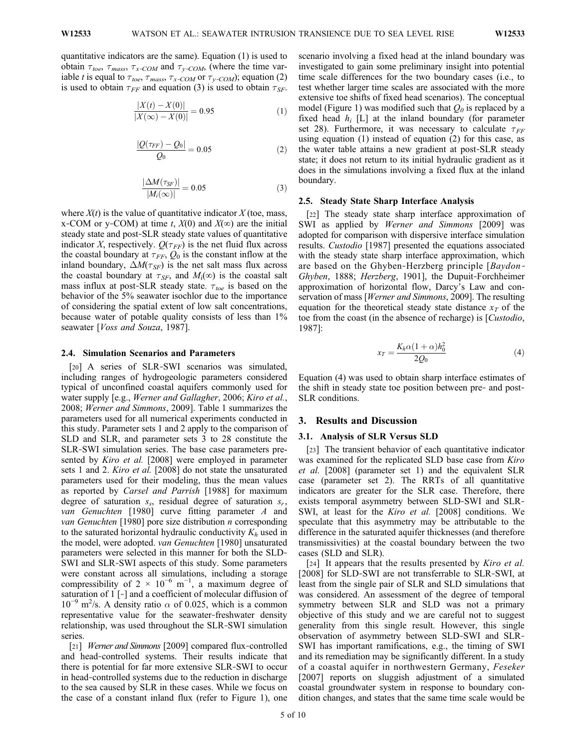quantitative indicators are the same). Equation (1) is used to obtain  $\tau_{toe}$ ,  $\tau_{mass}$ ,  $\tau_{x-COM}$  and  $\tau_{y-COM}$ , (where the time variable t is equal to  $\tau_{toe}$ ,  $\tau_{mass}$ ,  $\tau_{x\text{-COM}}$  or  $\tau_{y\text{-COM}}$ ; equation (2) is used to obtain  $\tau_{FF}$  and equation (3) is used to obtain  $\tau_{SF}$ .

$$
\frac{|X(t) - X(0)|}{|X(\infty) - X(0)|} = 0.95
$$
 (1)

$$
\frac{|Q(\tau_{FF}) - Q_0|}{Q_0} = 0.05\tag{2}
$$

$$
\frac{|\Delta M(\tau_{SF})|}{|M_i(\infty)|} = 0.05\tag{3}
$$

where  $X(t)$  is the value of quantitative indicator X (toe, mass, x-COM or y-COM) at time t,  $X(0)$  and  $X(\infty)$  are the initial steady state and post‐SLR steady state values of quantitative indicator X, respectively.  $Q(\tau_{FF})$  is the net fluid flux across the coastal boundary at  $\tau_{FF}$ ,  $Q_0$  is the constant inflow at the inland boundary,  $\Delta M(\tau_{SF})$  is the net salt mass flux across the coastal boundary at  $\tau_{SF}$ , and  $M_i(\infty)$  is the coastal salt mass influx at post-SLR steady state.  $\tau_{toe}$  is based on the behavior of the 5% seawater isochlor due to the importance of considering the spatial extent of low salt concentrations, because water of potable quality consists of less than 1% seawater [Voss and Souza, 1987].

#### 2.4. Simulation Scenarios and Parameters

[20] A series of SLR-SWI scenarios was simulated, including ranges of hydrogeologic parameters considered typical of unconfined coastal aquifers commonly used for water supply [e.g., Werner and Gallagher, 2006; Kiro et al., 2008; Werner and Simmons, 2009]. Table 1 summarizes the parameters used for all numerical experiments conducted in this study. Parameter sets 1 and 2 apply to the comparison of SLD and SLR, and parameter sets 3 to 28 constitute the SLR‐SWI simulation series. The base case parameters presented by *Kiro et al.* [2008] were employed in parameter sets 1 and 2. *Kiro et al.* [2008] do not state the unsaturated parameters used for their modeling, thus the mean values as reported by Carsel and Parrish [1988] for maximum degree of saturation  $s_s$ , residual degree of saturation  $s_r$ , van Genuchten [1980] curve fitting parameter A and van Genuchten [1980] pore size distribution *n* corresponding to the saturated horizontal hydraulic conductivity  $K_h$  used in the model, were adopted. van Genuchten [1980] unsaturated parameters were selected in this manner for both the SLD‐ SWI and SLR‐SWI aspects of this study. Some parameters were constant across all simulations, including a storage compressibility of  $2 \times 10^{-6}$  m<sup>-1</sup>, a maximum degree of saturation of 1 [-] and a coefficient of molecular diffusion of  $10^{-9}$  m<sup>2</sup>/s. A density ratio  $\alpha$  of 0.025, which is a common representative value for the seawater‐freshwater density relationship, was used throughout the SLR‐SWI simulation series.

[21] *Werner and Simmons* [2009] compared flux-controlled and head‐controlled systems. Their results indicate that there is potential for far more extensive SLR‐SWI to occur in head‐controlled systems due to the reduction in discharge to the sea caused by SLR in these cases. While we focus on the case of a constant inland flux (refer to Figure 1), one scenario involving a fixed head at the inland boundary was investigated to gain some preliminary insight into potential time scale differences for the two boundary cases (i.e., to test whether larger time scales are associated with the more extensive toe shifts of fixed head scenarios). The conceptual model (Figure 1) was modified such that  $Q_0$  is replaced by a fixed head  $h_i$  [L] at the inland boundary (for parameter set 28). Furthermore, it was necessary to calculate  $\tau_{FF}$ using equation (1) instead of equation (2) for this case, as the water table attains a new gradient at post‐SLR steady state; it does not return to its initial hydraulic gradient as it does in the simulations involving a fixed flux at the inland boundary.

#### 2.5. Steady State Sharp Interface Analysis

[22] The steady state sharp interface approximation of SWI as applied by Werner and Simmons [2009] was adopted for comparison with dispersive interface simulation results. Custodio [1987] presented the equations associated with the steady state sharp interface approximation, which are based on the Ghyben-Herzberg principle [*Baydon*-Ghyben, 1888; Herzberg, 1901], the Dupuit‐Forchheimer approximation of horizontal flow, Darcy's Law and conservation of mass [Werner and Simmons, 2009]. The resulting equation for the theoretical steady state distance  $x_T$  of the toe from the coast (in the absence of recharge) is [Custodio, 1987]:

$$
x_T = \frac{K_h \alpha (1 + \alpha) h_0^2}{2Q_0} \tag{4}
$$

Equation (4) was used to obtain sharp interface estimates of the shift in steady state toe position between pre- and post-SLR conditions.

### 3. Results and Discussion

## 3.1. Analysis of SLR Versus SLD

[23] The transient behavior of each quantitative indicator was examined for the replicated SLD base case from Kiro et al. [2008] (parameter set 1) and the equivalent SLR case (parameter set 2). The RRTs of all quantitative indicators are greater for the SLR case. Therefore, there exists temporal asymmetry between SLD‐SWI and SLR‐ SWI, at least for the Kiro et al. [2008] conditions. We speculate that this asymmetry may be attributable to the difference in the saturated aquifer thicknesses (and therefore transmissivities) at the coastal boundary between the two cases (SLD and SLR).

[24] It appears that the results presented by *Kiro et al.* [2008] for SLD-SWI are not transferrable to SLR-SWI, at least from the single pair of SLR and SLD simulations that was considered. An assessment of the degree of temporal symmetry between SLR and SLD was not a primary objective of this study and we are careful not to suggest generality from this single result. However, this single observation of asymmetry between SLD‐SWI and SLR‐ SWI has important ramifications, e.g., the timing of SWI and its remediation may be significantly different. In a study of a coastal aquifer in northwestern Germany, Feseker [2007] reports on sluggish adjustment of a simulated coastal groundwater system in response to boundary condition changes, and states that the same time scale would be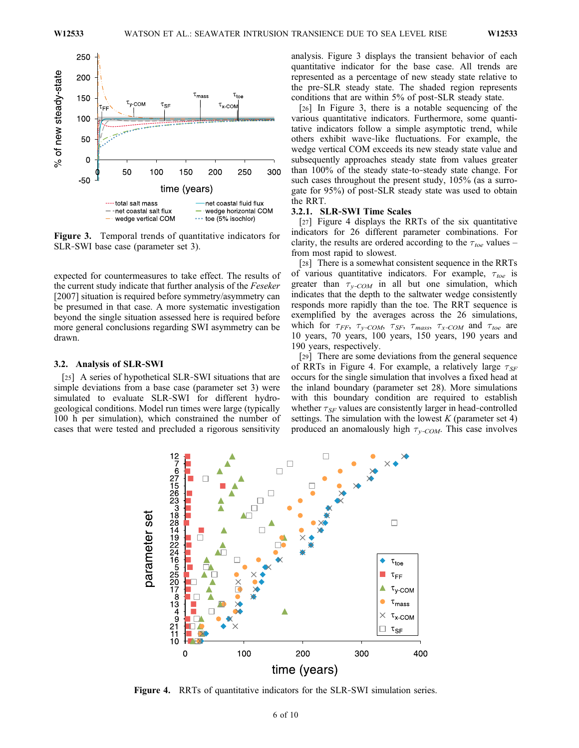

Figure 3. Temporal trends of quantitative indicators for SLR‐SWI base case (parameter set 3).

expected for countermeasures to take effect. The results of the current study indicate that further analysis of the Feseker [2007] situation is required before symmetry/asymmetry can be presumed in that case. A more systematic investigation beyond the single situation assessed here is required before more general conclusions regarding SWI asymmetry can be drawn.

## 3.2. Analysis of SLR‐SWI

[25] A series of hypothetical SLR-SWI situations that are simple deviations from a base case (parameter set 3) were simulated to evaluate SLR‐SWI for different hydrogeological conditions. Model run times were large (typically 100 h per simulation), which constrained the number of cases that were tested and precluded a rigorous sensitivity analysis. Figure 3 displays the transient behavior of each quantitative indicator for the base case. All trends are represented as a percentage of new steady state relative to the pre‐SLR steady state. The shaded region represents conditions that are within 5% of post‐SLR steady state.

[26] In Figure 3, there is a notable sequencing of the various quantitative indicators. Furthermore, some quantitative indicators follow a simple asymptotic trend, while others exhibit wave‐like fluctuations. For example, the wedge vertical COM exceeds its new steady state value and subsequently approaches steady state from values greater than 100% of the steady state‐to‐steady state change. For such cases throughout the present study, 105% (as a surrogate for 95%) of post‐SLR steady state was used to obtain the RRT.

## 3.2.1. SLR‐SWI Time Scales

[27] Figure 4 displays the RRTs of the six quantitative indicators for 26 different parameter combinations. For clarity, the results are ordered according to the  $\tau_{toe}$  values – from most rapid to slowest.

[28] There is a somewhat consistent sequence in the RRTs of various quantitative indicators. For example,  $\tau_{toe}$  is greater than  $\tau_{v\text{-}COM}$  in all but one simulation, which indicates that the depth to the saltwater wedge consistently responds more rapidly than the toe. The RRT sequence is exemplified by the averages across the 26 simulations, which for  $\tau_{FF}$ ,  $\tau_{y-COM}$ ,  $\tau_{SF}$ ,  $\tau_{mass}$ ,  $\tau_{x-COM}$  and  $\tau_{toe}$  are 10 years, 70 years, 100 years, 150 years, 190 years and 190 years, respectively.

[29] There are some deviations from the general sequence of RRTs in Figure 4. For example, a relatively large  $\tau_{SF}$ occurs for the single simulation that involves a fixed head at the inland boundary (parameter set 28). More simulations with this boundary condition are required to establish whether  $\tau_{SF}$  values are consistently larger in head-controlled settings. The simulation with the lowest  $K$  (parameter set 4) produced an anomalously high  $\tau_{\nu\text{-}COM}$ . This case involves



Figure 4. RRTs of quantitative indicators for the SLR-SWI simulation series.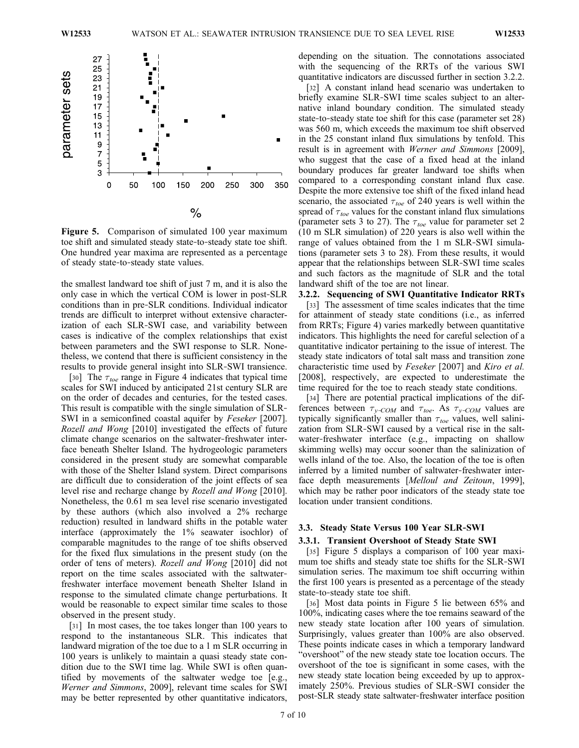

Figure 5. Comparison of simulated 100 year maximum toe shift and simulated steady state‐to‐steady state toe shift. One hundred year maxima are represented as a percentage of steady state‐to‐steady state values.

the smallest landward toe shift of just 7 m, and it is also the only case in which the vertical COM is lower in post‐SLR conditions than in pre‐SLR conditions. Individual indicator trends are difficult to interpret without extensive characterization of each SLR‐SWI case, and variability between cases is indicative of the complex relationships that exist between parameters and the SWI response to SLR. Nonetheless, we contend that there is sufficient consistency in the results to provide general insight into SLR‐SWI transience.

[30] The  $\tau_{toe}$  range in Figure 4 indicates that typical time scales for SWI induced by anticipated 21st century SLR are on the order of decades and centuries, for the tested cases. This result is compatible with the single simulation of SLR‐ SWI in a semiconfined coastal aquifer by Feseker [2007]. Rozell and Wong [2010] investigated the effects of future climate change scenarios on the saltwater‐freshwater interface beneath Shelter Island. The hydrogeologic parameters considered in the present study are somewhat comparable with those of the Shelter Island system. Direct comparisons are difficult due to consideration of the joint effects of sea level rise and recharge change by Rozell and Wong [2010]. Nonetheless, the 0.61 m sea level rise scenario investigated by these authors (which also involved a 2% recharge reduction) resulted in landward shifts in the potable water interface (approximately the 1% seawater isochlor) of comparable magnitudes to the range of toe shifts observed for the fixed flux simulations in the present study (on the order of tens of meters). Rozell and Wong [2010] did not report on the time scales associated with the saltwater‐ freshwater interface movement beneath Shelter Island in response to the simulated climate change perturbations. It would be reasonable to expect similar time scales to those observed in the present study.

[31] In most cases, the toe takes longer than 100 years to respond to the instantaneous SLR. This indicates that landward migration of the toe due to a 1 m SLR occurring in 100 years is unlikely to maintain a quasi steady state condition due to the SWI time lag. While SWI is often quantified by movements of the saltwater wedge toe [e.g., Werner and Simmons, 2009], relevant time scales for SWI may be better represented by other quantitative indicators,

depending on the situation. The connotations associated with the sequencing of the RRTs of the various SWI quantitative indicators are discussed further in section 3.2.2.

[32] A constant inland head scenario was undertaken to briefly examine SLR‐SWI time scales subject to an alternative inland boundary condition. The simulated steady state-to-steady state toe shift for this case (parameter set 28) was 560 m, which exceeds the maximum toe shift observed in the 25 constant inland flux simulations by tenfold. This result is in agreement with Werner and Simmons [2009], who suggest that the case of a fixed head at the inland boundary produces far greater landward toe shifts when compared to a corresponding constant inland flux case. Despite the more extensive toe shift of the fixed inland head scenario, the associated  $\tau_{toe}$  of 240 years is well within the spread of  $\tau_{toe}$  values for the constant inland flux simulations (parameter sets 3 to 27). The  $\tau_{toe}$  value for parameter set 2 (10 m SLR simulation) of 220 years is also well within the range of values obtained from the 1 m SLR‐SWI simulations (parameter sets 3 to 28). From these results, it would appear that the relationships between SLR‐SWI time scales and such factors as the magnitude of SLR and the total landward shift of the toe are not linear.

3.2.2. Sequencing of SWI Quantitative Indicator RRTs [33] The assessment of time scales indicates that the time for attainment of steady state conditions (i.e., as inferred from RRTs; Figure 4) varies markedly between quantitative indicators. This highlights the need for careful selection of a quantitative indicator pertaining to the issue of interest. The steady state indicators of total salt mass and transition zone characteristic time used by Feseker [2007] and Kiro et al. [2008], respectively, are expected to underestimate the time required for the toe to reach steady state conditions.

[34] There are potential practical implications of the differences between  $\tau_{y\text{-}COM}$  and  $\tau_{toe}$ . As  $\tau_{y\text{-}COM}$  values are typically significantly smaller than  $\tau_{toe}$  values, well salinization from SLR‐SWI caused by a vertical rise in the saltwater-freshwater interface (e.g., impacting on shallow skimming wells) may occur sooner than the salinization of wells inland of the toe. Also, the location of the toe is often inferred by a limited number of saltwater-freshwater interface depth measurements [Melloul and Zeitoun, 1999], which may be rather poor indicators of the steady state toe location under transient conditions.

#### 3.3. Steady State Versus 100 Year SLR‐SWI

#### 3.3.1. Transient Overshoot of Steady State SWI

[35] Figure 5 displays a comparison of 100 year maximum toe shifts and steady state toe shifts for the SLR‐SWI simulation series. The maximum toe shift occurring within the first 100 years is presented as a percentage of the steady state‐to‐steady state toe shift.

[36] Most data points in Figure 5 lie between 65% and 100%, indicating cases where the toe remains seaward of the new steady state location after 100 years of simulation. Surprisingly, values greater than 100% are also observed. These points indicate cases in which a temporary landward "overshoot" of the new steady state toe location occurs. The overshoot of the toe is significant in some cases, with the new steady state location being exceeded by up to approximately 250%. Previous studies of SLR‐SWI consider the post‐SLR steady state saltwater‐freshwater interface position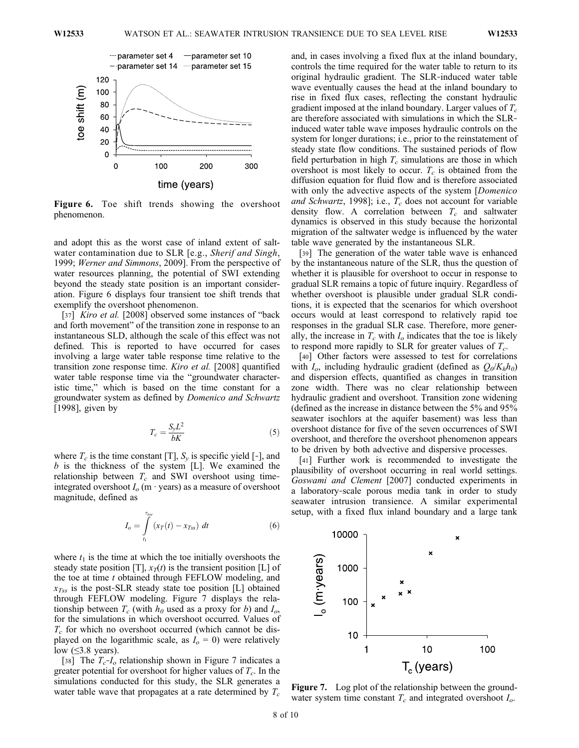

Figure 6. Toe shift trends showing the overshoot phenomenon.

and adopt this as the worst case of inland extent of saltwater contamination due to SLR [e.g., Sherif and Singh, 1999; Werner and Simmons, 2009]. From the perspective of water resources planning, the potential of SWI extending beyond the steady state position is an important consideration. Figure 6 displays four transient toe shift trends that exemplify the overshoot phenomenon.

[37] *Kiro et al.* [2008] observed some instances of "back" and forth movement" of the transition zone in response to an instantaneous SLD, although the scale of this effect was not defined. This is reported to have occurred for cases involving a large water table response time relative to the transition zone response time. Kiro et al. [2008] quantified water table response time via the "groundwater characteristic time," which is based on the time constant for a groundwater system as defined by Domenico and Schwartz [1998], given by

$$
T_c = \frac{S_y L^2}{bK} \tag{5}
$$

where  $T_c$  is the time constant [T],  $S_v$  is specific yield [-], and  $b$  is the thickness of the system [L]. We examined the relationship between  $T_c$  and SWI overshoot using timeintegrated overshoot  $I<sub>o</sub>$  (m  $\cdot$  years) as a measure of overshoot magnitude, defined as

$$
I_o = \int_{t_1}^{\tau_{loc}} (x_T(t) - x_{Tss}) dt
$$
 (6)

where  $t_1$  is the time at which the toe initially overshoots the steady state position [T],  $x_T(t)$  is the transient position [L] of the toe at time t obtained through FEFLOW modeling, and  $x_{\text{Ts}}$  is the post-SLR steady state toe position [L] obtained through FEFLOW modeling. Figure 7 displays the relationship between  $T_c$  (with  $h_0$  used as a proxy for b) and  $I_o$ , for the simulations in which overshoot occurred. Values of  $T_c$  for which no overshoot occurred (which cannot be displayed on the logarithmic scale, as  $I<sub>o</sub> = 0$ ) were relatively low  $(\leq)3.8$  years).

[38] The  $T_c$ - $I_o$  relationship shown in Figure 7 indicates a greater potential for overshoot for higher values of  $T_c$ . In the simulations conducted for this study, the SLR generates a water table wave that propagates at a rate determined by  $T_c$ 

and, in cases involving a fixed flux at the inland boundary, controls the time required for the water table to return to its original hydraulic gradient. The SLR‐induced water table wave eventually causes the head at the inland boundary to rise in fixed flux cases, reflecting the constant hydraulic gradient imposed at the inland boundary. Larger values of  $T_c$ are therefore associated with simulations in which the SLR‐ induced water table wave imposes hydraulic controls on the system for longer durations; i.e., prior to the reinstatement of steady state flow conditions. The sustained periods of flow field perturbation in high  $T_c$  simulations are those in which overshoot is most likely to occur.  $T_c$  is obtained from the diffusion equation for fluid flow and is therefore associated with only the advective aspects of the system [*Domenico* and Schwartz, 1998]; i.e.,  $T_c$  does not account for variable density flow. A correlation between  $T_c$  and saltwater dynamics is observed in this study because the horizontal migration of the saltwater wedge is influenced by the water table wave generated by the instantaneous SLR.

[39] The generation of the water table wave is enhanced by the instantaneous nature of the SLR, thus the question of whether it is plausible for overshoot to occur in response to gradual SLR remains a topic of future inquiry. Regardless of whether overshoot is plausible under gradual SLR conditions, it is expected that the scenarios for which overshoot occurs would at least correspond to relatively rapid toe responses in the gradual SLR case. Therefore, more generally, the increase in  $T_c$  with  $I_o$  indicates that the toe is likely to respond more rapidly to SLR for greater values of  $T_c$ .

[40] Other factors were assessed to test for correlations with  $I_o$ , including hydraulic gradient (defined as  $Q_0/K_hh_0$ ) and dispersion effects, quantified as changes in transition zone width. There was no clear relationship between hydraulic gradient and overshoot. Transition zone widening (defined as the increase in distance between the 5% and 95% seawater isochlors at the aquifer basement) was less than overshoot distance for five of the seven occurrences of SWI overshoot, and therefore the overshoot phenomenon appears to be driven by both advective and dispersive processes.

[41] Further work is recommended to investigate the plausibility of overshoot occurring in real world settings. Goswami and Clement [2007] conducted experiments in a laboratory‐scale porous media tank in order to study seawater intrusion transience. A similar experimental setup, with a fixed flux inland boundary and a large tank



Figure 7. Log plot of the relationship between the groundwater system time constant  $T_c$  and integrated overshoot  $I_o$ .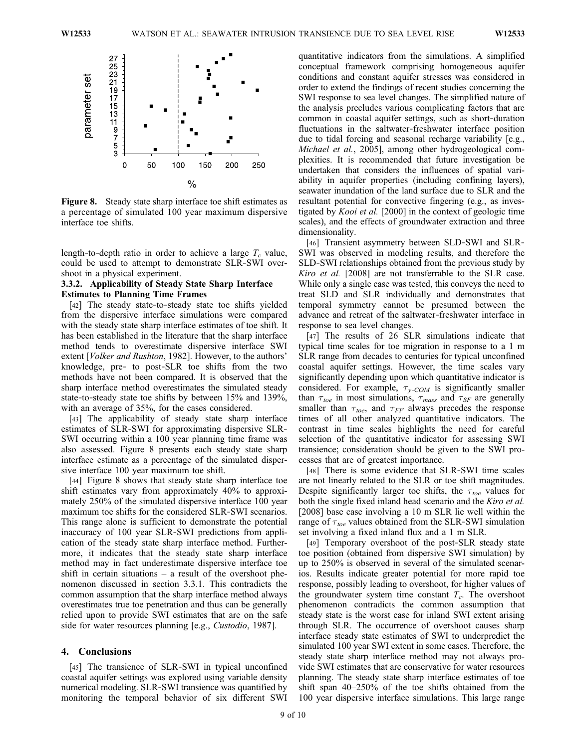

Figure 8. Steady state sharp interface toe shift estimates as a percentage of simulated 100 year maximum dispersive interface toe shifts.

length-to-depth ratio in order to achieve a large  $T_c$  value, could be used to attempt to demonstrate SLR‐SWI overshoot in a physical experiment.

## 3.3.2. Applicability of Steady State Sharp Interface Estimates to Planning Time Frames

[42] The steady state-to-steady state toe shifts yielded from the dispersive interface simulations were compared with the steady state sharp interface estimates of toe shift. It has been established in the literature that the sharp interface method tends to overestimate dispersive interface SWI extent [Volker and Rushton, 1982]. However, to the authors' knowledge, pre‐ to post‐SLR toe shifts from the two methods have not been compared. It is observed that the sharp interface method overestimates the simulated steady state-to-steady state toe shifts by between 15% and 139%, with an average of 35%, for the cases considered.

[43] The applicability of steady state sharp interface estimates of SLR‐SWI for approximating dispersive SLR‐ SWI occurring within a 100 year planning time frame was also assessed. Figure 8 presents each steady state sharp interface estimate as a percentage of the simulated dispersive interface 100 year maximum toe shift.

[44] Figure 8 shows that steady state sharp interface toe shift estimates vary from approximately 40% to approximately 250% of the simulated dispersive interface 100 year maximum toe shifts for the considered SLR‐SWI scenarios. This range alone is sufficient to demonstrate the potential inaccuracy of 100 year SLR‐SWI predictions from application of the steady state sharp interface method. Furthermore, it indicates that the steady state sharp interface method may in fact underestimate dispersive interface toe shift in certain situations  $-$  a result of the overshoot phenomenon discussed in section 3.3.1. This contradicts the common assumption that the sharp interface method always overestimates true toe penetration and thus can be generally relied upon to provide SWI estimates that are on the safe side for water resources planning [e.g., *Custodio*, 1987].

## 4. Conclusions

[45] The transience of SLR-SWI in typical unconfined coastal aquifer settings was explored using variable density numerical modeling. SLR‐SWI transience was quantified by monitoring the temporal behavior of six different SWI quantitative indicators from the simulations. A simplified conceptual framework comprising homogeneous aquifer conditions and constant aquifer stresses was considered in order to extend the findings of recent studies concerning the SWI response to sea level changes. The simplified nature of the analysis precludes various complicating factors that are common in coastal aquifer settings, such as short‐duration fluctuations in the saltwater‐freshwater interface position due to tidal forcing and seasonal recharge variability [e.g., Michael et al., 2005], among other hydrogeological complexities. It is recommended that future investigation be undertaken that considers the influences of spatial variability in aquifer properties (including confining layers), seawater inundation of the land surface due to SLR and the resultant potential for convective fingering (e.g., as investigated by Kooi et al. [2000] in the context of geologic time scales), and the effects of groundwater extraction and three dimensionality.

[46] Transient asymmetry between SLD‐SWI and SLR‐ SWI was observed in modeling results, and therefore the SLD‐SWI relationships obtained from the previous study by Kiro et al. [2008] are not transferrable to the SLR case. While only a single case was tested, this conveys the need to treat SLD and SLR individually and demonstrates that temporal symmetry cannot be presumed between the advance and retreat of the saltwater‐freshwater interface in response to sea level changes.

[47] The results of 26 SLR simulations indicate that typical time scales for toe migration in response to a 1 m SLR range from decades to centuries for typical unconfined coastal aquifer settings. However, the time scales vary significantly depending upon which quantitative indicator is considered. For example,  $\tau_{\nu\text{-}COM}$  is significantly smaller than  $\tau_{toe}$  in most simulations,  $\tau_{mass}$  and  $\tau_{SF}$  are generally smaller than  $\tau_{toe}$ , and  $\tau_{FF}$  always precedes the response times of all other analyzed quantitative indicators. The contrast in time scales highlights the need for careful selection of the quantitative indicator for assessing SWI transience; consideration should be given to the SWI processes that are of greatest importance.

[48] There is some evidence that SLR‐SWI time scales are not linearly related to the SLR or toe shift magnitudes. Despite significantly larger toe shifts, the  $\tau_{toe}$  values for both the single fixed inland head scenario and the Kiro et al. [2008] base case involving a 10 m SLR lie well within the range of  $\tau_{toe}$  values obtained from the SLR-SWI simulation set involving a fixed inland flux and a 1 m SLR.

[49] Temporary overshoot of the post‐SLR steady state toe position (obtained from dispersive SWI simulation) by up to 250% is observed in several of the simulated scenarios. Results indicate greater potential for more rapid toe response, possibly leading to overshoot, for higher values of the groundwater system time constant  $T_c$ . The overshoot phenomenon contradicts the common assumption that steady state is the worst case for inland SWI extent arising through SLR. The occurrence of overshoot causes sharp interface steady state estimates of SWI to underpredict the simulated 100 year SWI extent in some cases. Therefore, the steady state sharp interface method may not always provide SWI estimates that are conservative for water resources planning. The steady state sharp interface estimates of toe shift span 40–250% of the toe shifts obtained from the 100 year dispersive interface simulations. This large range